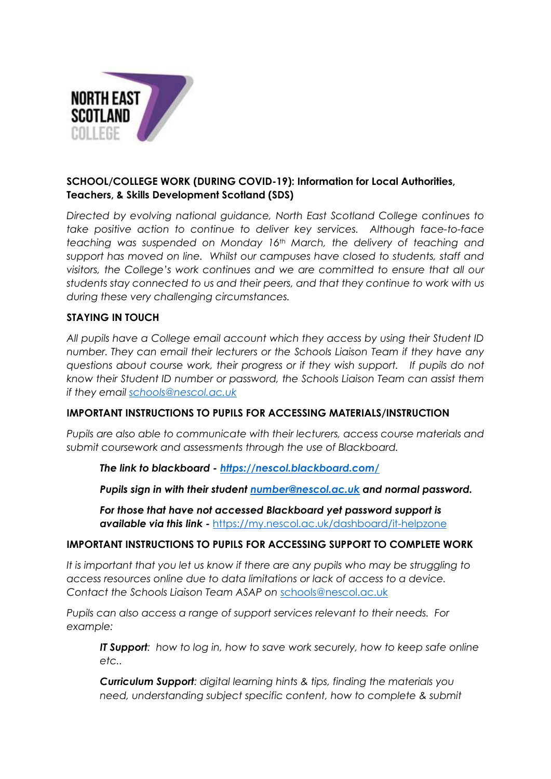

## **SCHOOL/COLLEGE WORK (DURING COVID-19): Information for Local Authorities, Teachers, & Skills Development Scotland (SDS)**

*Directed by evolving national guidance, North East Scotland College continues to take positive action to continue to deliver key services. Although face-to-face teaching was suspended on Monday 16th March, the delivery of teaching and support has moved on line. Whilst our campuses have closed to students, staff and visitors, the College's work continues and we are committed to ensure that all our students stay connected to us and their peers, and that they continue to work with us during these very challenging circumstances.*

### **STAYING IN TOUCH**

*All pupils have a College email account which they access by using their Student ID number. They can email their lecturers or the Schools Liaison Team if they have any questions about course work, their progress or if they wish support. If pupils do not know their Student ID number or password, the Schools Liaison Team can assist them if they email [schools@nescol.ac.uk](mailto:schools@nescol.ac.uk)*

### **IMPORTANT INSTRUCTIONS TO PUPILS FOR ACCESSING MATERIALS/INSTRUCTION**

*Pupils are also able to communicate with their lecturers, access course materials and submit coursework and assessments through the use of Blackboard.*

*The link to blackboard - [https://nescol.blackboard.com/](https://eur02.safelinks.protection.outlook.com/?url=https%3A%2F%2Fnescol.blackboard.com%2F&data=02%7C01%7Cs.betty%40nescol.ac.uk%7C753c5f315c6e4a22a74808d7cffe1882%7Cb8c4db000d5040e1b5eb7b8290a8b9bb%7C0%7C0%7C637206562549557787&sdata=ZtNYImVsAiJQ6v7LWieTi4dD3dm6FzVosPd17NOTZng%3D&reserved=0)*

*Pupils sign in with their student [number@nescol.ac.uk](mailto:number@nescol.ac.uk) and normal password.*

*For those that have not accessed Blackboard yet password support is available via this link -* <https://my.nescol.ac.uk/dashboard/it-helpzone>

#### **IMPORTANT INSTRUCTIONS TO PUPILS FOR ACCESSING SUPPORT TO COMPLETE WORK**

It is important that you let us know if there are any pupils who may be struggling to *access resources online due to data limitations or lack of access to a device. Contact the Schools Liaison Team ASAP on* [schools@nescol.ac.uk](mailto:schools@nescol.ac.uk)

*Pupils can also access a range of support services relevant to their needs. For example:*

*IT Support: how to log in, how to save work securely, how to keep safe online etc..*

*Curriculum Support: digital learning hints & tips, finding the materials you need, understanding subject specific content, how to complete & submit*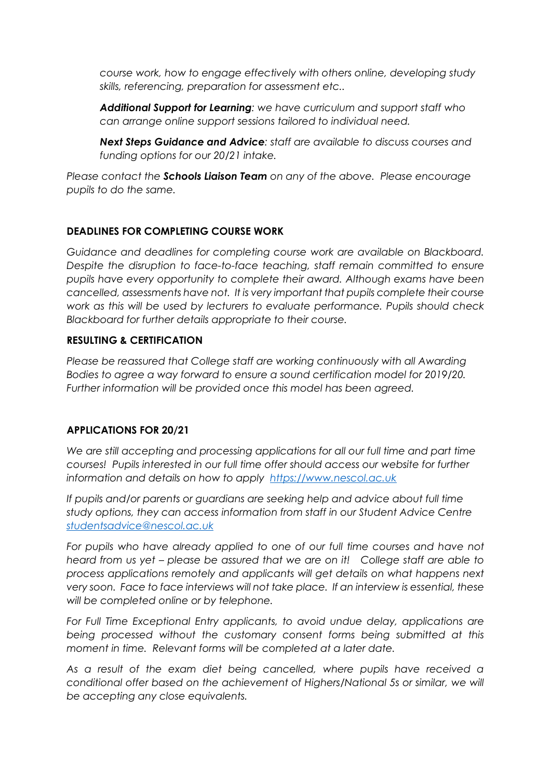*course work, how to engage effectively with others online, developing study skills, referencing, preparation for assessment etc..*

*Additional Support for Learning: we have curriculum and support staff who can arrange online support sessions tailored to individual need.*

*Next Steps Guidance and Advice: staff are available to discuss courses and funding options for our 20/21 intake.*

*Please contact the Schools Liaison Team on any of the above. Please encourage pupils to do the same.*

### **DEADLINES FOR COMPLETING COURSE WORK**

*Guidance and deadlines for completing course work are available on Blackboard. Despite the disruption to face-to-face teaching, staff remain committed to ensure pupils have every opportunity to complete their award. Although exams have been cancelled, assessments have not. It is very important that pupils complete their course work as this will be used by lecturers to evaluate performance. Pupils should check Blackboard for further details appropriate to their course.* 

### **RESULTING & CERTIFICATION**

*Please be reassured that College staff are working continuously with all Awarding Bodies to agree a way forward to ensure a sound certification model for 2019/20. Further information will be provided once this model has been agreed.*

### **APPLICATIONS FOR 20/21**

*We are still accepting and processing applications for all our full time and part time courses! Pupils interested in our full time offer should access our website for further information and details on how to apply [https://www.nescol.ac.uk](https://www.nescol.ac.uk/)* 

*If pupils and/or parents or guardians are seeking help and advice about full time study options, they can access information from staff in our Student Advice Centre [studentsadvice@nescol.ac.uk](mailto:studentsadvice@nescol.ac.uk)*

For pupils who have already applied to one of our full time courses and have not *heard from us yet – please be assured that we are on it! College staff are able to process applications remotely and applicants will get details on what happens next very soon. Face to face interviews will not take place. If an interview is essential, these will be completed online or by telephone.* 

*For Full Time Exceptional Entry applicants, to avoid undue delay, applications are being processed without the customary consent forms being submitted at this moment in time. Relevant forms will be completed at a later date.*

*As a result of the exam diet being cancelled, where pupils have received a conditional offer based on the achievement of Highers/National 5s or similar, we will be accepting any close equivalents.*